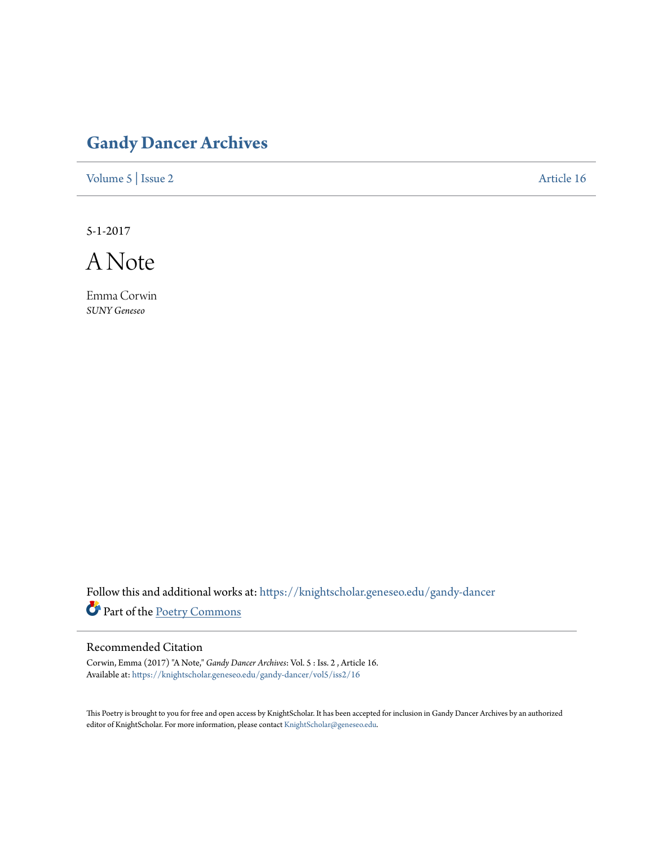## **[Gandy Dancer Archives](https://knightscholar.geneseo.edu/gandy-dancer?utm_source=knightscholar.geneseo.edu%2Fgandy-dancer%2Fvol5%2Fiss2%2F16&utm_medium=PDF&utm_campaign=PDFCoverPages)**

[Volume 5](https://knightscholar.geneseo.edu/gandy-dancer/vol5?utm_source=knightscholar.geneseo.edu%2Fgandy-dancer%2Fvol5%2Fiss2%2F16&utm_medium=PDF&utm_campaign=PDFCoverPages) | [Issue 2](https://knightscholar.geneseo.edu/gandy-dancer/vol5/iss2?utm_source=knightscholar.geneseo.edu%2Fgandy-dancer%2Fvol5%2Fiss2%2F16&utm_medium=PDF&utm_campaign=PDFCoverPages) [Article 16](https://knightscholar.geneseo.edu/gandy-dancer/vol5/iss2/16?utm_source=knightscholar.geneseo.edu%2Fgandy-dancer%2Fvol5%2Fiss2%2F16&utm_medium=PDF&utm_campaign=PDFCoverPages)

5-1-2017

A Note

Emma Corwin *SUNY Geneseo*

Follow this and additional works at: [https://knightscholar.geneseo.edu/gandy-dancer](https://knightscholar.geneseo.edu/gandy-dancer?utm_source=knightscholar.geneseo.edu%2Fgandy-dancer%2Fvol5%2Fiss2%2F16&utm_medium=PDF&utm_campaign=PDFCoverPages) Part of the [Poetry Commons](http://network.bepress.com/hgg/discipline/1153?utm_source=knightscholar.geneseo.edu%2Fgandy-dancer%2Fvol5%2Fiss2%2F16&utm_medium=PDF&utm_campaign=PDFCoverPages)

## Recommended Citation

Corwin, Emma (2017) "A Note," *Gandy Dancer Archives*: Vol. 5 : Iss. 2 , Article 16. Available at: [https://knightscholar.geneseo.edu/gandy-dancer/vol5/iss2/16](https://knightscholar.geneseo.edu/gandy-dancer/vol5/iss2/16?utm_source=knightscholar.geneseo.edu%2Fgandy-dancer%2Fvol5%2Fiss2%2F16&utm_medium=PDF&utm_campaign=PDFCoverPages)

This Poetry is brought to you for free and open access by KnightScholar. It has been accepted for inclusion in Gandy Dancer Archives by an authorized editor of KnightScholar. For more information, please contact [KnightScholar@geneseo.edu.](mailto:KnightScholar@geneseo.edu)